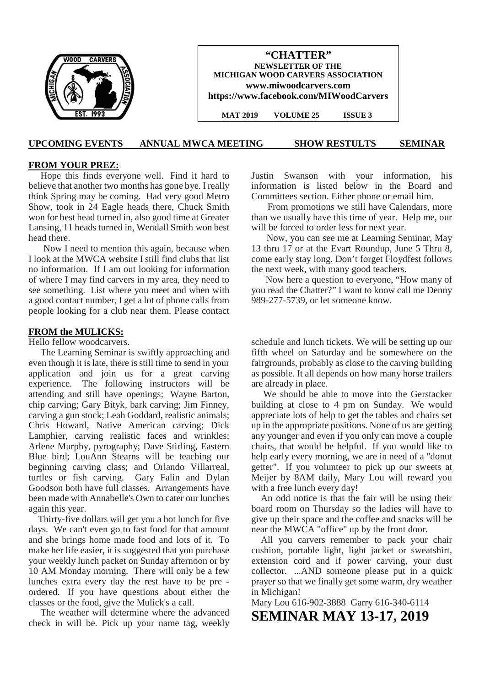|           | "CHATTER"<br><b>NEWSLETTER OF THE</b><br>MICHIGAN WOOD CARVERS ASSOCIATION<br>www.miwoodcarvers.com<br>https://www.facebook.com/MIWoodCarvers |
|-----------|-----------------------------------------------------------------------------------------------------------------------------------------------|
| EST. 1993 | <b>ISSUE 3</b><br><b>MAT 2019</b><br><b>VOLUME 25</b>                                                                                         |

#### **UPCOMING EVENTS ANNUAL MWCA MEETING SHOW RESTULTS SEMINAR**

#### **FROM YOUR PREZ:**

Hope this finds everyone well. Find it hard to believe that another two months has gone bye. I really think Spring may be coming. Had very good Metro Show, took in 24 Eagle heads there, Chuck Smith won for best head turned in, also good time at Greater Lansing, 11 heads turned in, Wendall Smith won best head there.

Now I need to mention this again, because when I look at the MWCA website I still find clubs that list no information. If I am out looking for information of where I may find carvers in my area, they need to see something. List where you meet and when with a good contact number, I get a lot of phone calls from people looking for a club near them. Please contact

#### **FROM the MULICKS:**

Hello fellow woodcarvers.

The Learning Seminar is swiftly approaching and even though it is late, there is still time to send in your application and join us for a great carving experience. The following instructors will be attending and still have openings; Wayne Barton, chip carving; Gary Bityk, bark carving; Jim Finney, carving a gun stock; Leah Goddard, realistic animals; Chris Howard, Native American carving; Dick Lamphier, carving realistic faces and wrinkles; Arlene Murphy, pyrography; Dave Stirling, Eastern Blue bird; LouAnn Stearns will be teaching our beginning carving class; and Orlando Villarreal, turtles or fish carving. Gary Falin and Dylan Goodson both have full classes. Arrangements have been made with Annabelle's Own to cater our lunches again this year.

Thirty-five dollars will get you a hot lunch for five days. We can't even go to fast food for that amount and she brings home made food and lots of it. To make her life easier, it is suggested that you purchase your weekly lunch packet on Sunday afternoon or by 10 AM Monday morning. There will only be a few lunches extra every day the rest have to be pre ordered. If you have questions about either the classes or the food, give the Mulick's a call.

The weather will determine where the advanced check in will be. Pick up your name tag, weekly Justin Swanson with your information, his information is listed below in the Board and Committees section. Either phone or email him.

From promotions we still have Calendars, more than we usually have this time of year. Help me, our will be forced to order less for next year.

Now, you can see me at Learning Seminar, May 13 thru 17 or at the Evart Roundup, June 5 Thru 8, come early stay long. Don't forget Floydfest follows the next week, with many good teachers.

Now here a question to everyone, "How many of you read the Chatter?" I want to know call me Denny 989-277-5739, or let someone know.

schedule and lunch tickets. We will be setting up our fifth wheel on Saturday and be somewhere on the fairgrounds, probably as close to the carving building as possible. It all depends on how many horse trailers are already in place.

We should be able to move into the Gerstacker building at close to 4 pm on Sunday. We would appreciate lots of help to get the tables and chairs set up in the appropriate positions. None of us are getting any younger and even if you only can move a couple chairs, that would be helpful. If you would like to help early every morning, we are in need of a "donut getter". If you volunteer to pick up our sweets at Meijer by 8AM daily, Mary Lou will reward you with a free lunch every day!

An odd notice is that the fair will be using their board room on Thursday so the ladies will have to give up their space and the coffee and snacks will be near the MWCA "office" up by the front door.

All you carvers remember to pack your chair cushion, portable light, light jacket or sweatshirt, extension cord and if power carving, your dust collector. ...AND someone please put in a quick prayer so that we finally get some warm, dry weather in Michigan!

Mary Lou 616-902-3888 Garry 616-340-6114 **SEMINAR MAY 13-17, 2019**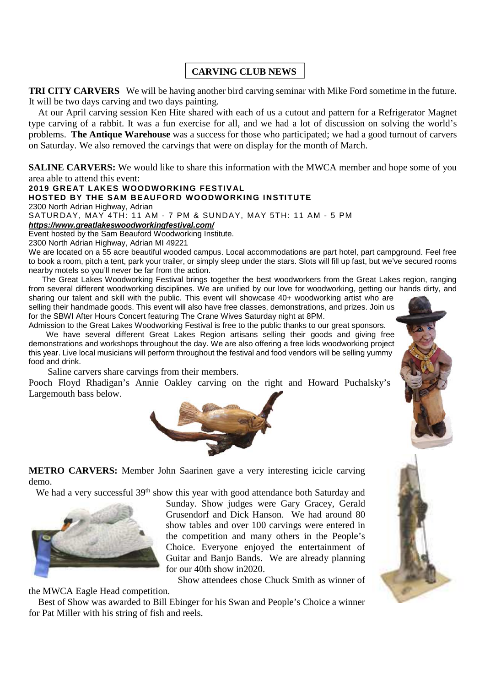# **CARVING CLUB NEWS**

**TRI CITY CARVERS** We will be having another bird carving seminar with Mike Ford sometime in the future. It will be two days carving and two days painting.

At our April carving session Ken Hite shared with each of us a cutout and pattern for a Refrigerator Magnet type carving of a rabbit. It was a fun exercise for all, and we had a lot of discussion on solving the world's problems. **The Antique Warehouse** was a success for those who participated; we had a good turnout of carvers on Saturday. We also removed the carvings that were on display for the month of March.

**SALINE CARVERS:** We would like to share this information with the MWCA member and hope some of you area able to attend this event:

**2019 GREAT LAKES WOODWORKING FESTIVAL**

#### **HOSTED BY THE SAM BEAUFORD WOODWORKING INSTITUTE**

2300 North Adrian Highway, Adrian

SATURDAY, MAY 4TH: 11 AM - 7 PM & SUNDAY, MAY 5TH: 11 AM - 5 PM

*https://www.greatlakeswoodworkingfestival.com/*

Event hosted by the Sam Beauford Woodworking Institute.

2300 North Adrian Highway, Adrian MI 49221

We are located on a 55 acre beautiful wooded campus. Local accommodations are part hotel, part campground. Feel free to book a room, pitch a tent, park your trailer, or simply sleep under the stars. Slots will fill up fast, but we've secured rooms nearby motels so you'll never be far from the action.

The Great Lakes Woodworking Festival brings together the best woodworkers from the Great Lakes region, ranging from several different woodworking disciplines. We are unified by our love for woodworking, getting our hands dirty, and

sharing our talent and skill with the public. This event will showcase 40+ woodworking artist who are selling their handmade goods. This event will also have free classes, demonstrations, and prizes. Join us for the SBWI After Hours Concert featuring The Crane Wives Saturday night at 8PM.

Admission to the Great Lakes Woodworking Festival is free to the public thanks to our great sponsors. We have several different Great Lakes Region artisans selling their goods and giving free demonstrations and workshops throughout the day. We are also offering a free kids woodworking project this year. Live local musicians will perform throughout the festival and food vendors will be selling yummy food and drink.

Saline carvers share carvings from their members.

Pooch Floyd Rhadigan's Annie Oakley carving on the right and Howard Puchalsky's Largemouth bass below.



**METRO CARVERS:** Member John Saarinen gave a very interesting icicle carving

We had a very successful 39<sup>th</sup> show this year with good attendance both Saturday and



demo.

Sunday. Show judges were Gary Gracey, Gerald Grusendorf and Dick Hanson. We had around 80 show tables and over 100 carvings were entered in the competition and many others in the People's Choice. Everyone enjoyed the entertainment of Guitar and Banjo Bands. We are already planning for our 40th show in2020.

Show attendees chose Chuck Smith as winner of

the MWCA Eagle Head competition.

Best of Show was awarded to Bill Ebinger for his Swan and People's Choice a winner for Pat Miller with his string of fish and reels.

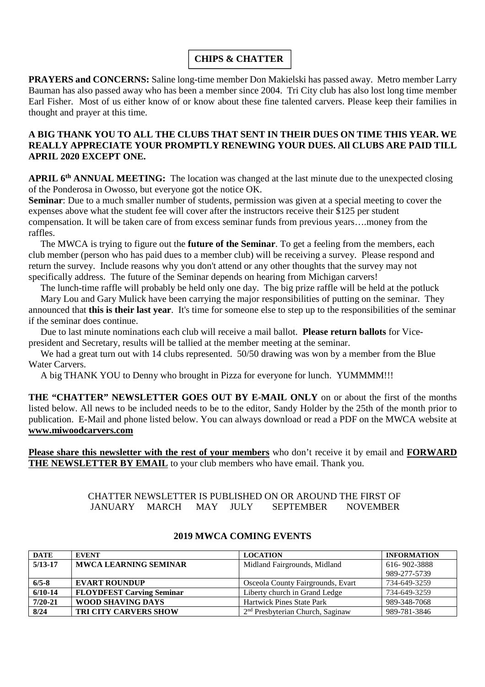# **CHIPS & CHATTER**

**PRAYERS and CONCERNS:** Saline long-time member Don Makielski has passed away. Metro member Larry Bauman has also passed away who has been a member since 2004. Tri City club has also lost long time member Earl Fisher. Most of us either know of or know about these fine talented carvers. Please keep their families in thought and prayer at this time.

# **A BIG THANK YOU TO ALL THE CLUBS THAT SENT IN THEIR DUES ON TIME THIS YEAR. WE REALLY APPRECIATE YOUR PROMPTLY RENEWING YOUR DUES. All CLUBS ARE PAID TILL APRIL 2020 EXCEPT ONE.**

**APRIL 6th ANNUAL MEETING:** The location was changed at the last minute due to the unexpected closing of the Ponderosa in Owosso, but everyone got the notice OK.

**Seminar**: Due to a much smaller number of students, permission was given at a special meeting to cover the expenses above what the student fee will cover after the instructors receive their \$125 per student compensation. It will be taken care of from excess seminar funds from previous years….money from the raffles.

The MWCA is trying to figure out the **future of the Seminar**. To get a feeling from the members, each club member (person who has paid dues to a member club) will be receiving a survey. Please respond and return the survey. Include reasons why you don't attend or any other thoughts that the survey may not specifically address. The future of the Seminar depends on hearing from Michigan carvers!

The lunch-time raffle will probably be held only one day. The big prize raffle will be held at the potluck

Mary Lou and Gary Mulick have been carrying the major responsibilities of putting on the seminar. They announced that **this is their last year**. It's time for someone else to step up to the responsibilities of the seminar if the seminar does continue.

Due to last minute nominations each club will receive a mail ballot. **Please return ballots** for Vicepresident and Secretary, results will be tallied at the member meeting at the seminar.

We had a great turn out with 14 clubs represented. 50/50 drawing was won by a member from the Blue Water Carvers.

A big THANK YOU to Denny who brought in Pizza for everyone for lunch. YUMMMM!!!

**THE "CHATTER" NEWSLETTER GOES OUT BY E-MAIL ONLY** on or about the first of the months listed below. All news to be included needs to be to the editor, Sandy Holder by the 25th of the month prior to publication. E-Mail and phone listed below. You can always download or read a PDF on the MWCA website at **www.miwoodcarvers.com**

**Please share this newsletter with the rest of your members** who don't receive it by email and **FORWARD THE NEWSLETTER BY EMAIL** to your club members who have email. Thank you.

# CHATTER NEWSLETTER IS PUBLISHED ON OR AROUND THE FIRST OF JANUARY MARCH MAY JULY SEPTEMBER NOVEMBER

| <b>DATE</b> | <b>EVENT</b>                     | <b>LOCATION</b>                    | <b>INFORMATION</b> |
|-------------|----------------------------------|------------------------------------|--------------------|
| $5/13 - 17$ | <b>MWCA LEARNING SEMINAR</b>     | Midland Fairgrounds, Midland       | 616-902-3888       |
|             |                                  |                                    | 989-277-5739       |
| $6/5 - 8$   | <b>EVART ROUNDUP</b>             | Osceola County Fairgrounds, Evart  | 734-649-3259       |
| $6/10-14$   | <b>FLOYDFEST Carving Seminar</b> | Liberty church in Grand Ledge      | 734-649-3259       |
| $7/20 - 21$ | <b>WOOD SHAVING DAYS</b>         | <b>Hartwick Pines State Park</b>   | 989-348-7068       |
| 8/24        | <b>TRI CITY CARVERS SHOW</b>     | $2nd$ Presbyterian Church, Saginaw | 989-781-3846       |

### **2019 MWCA COMING EVENTS**